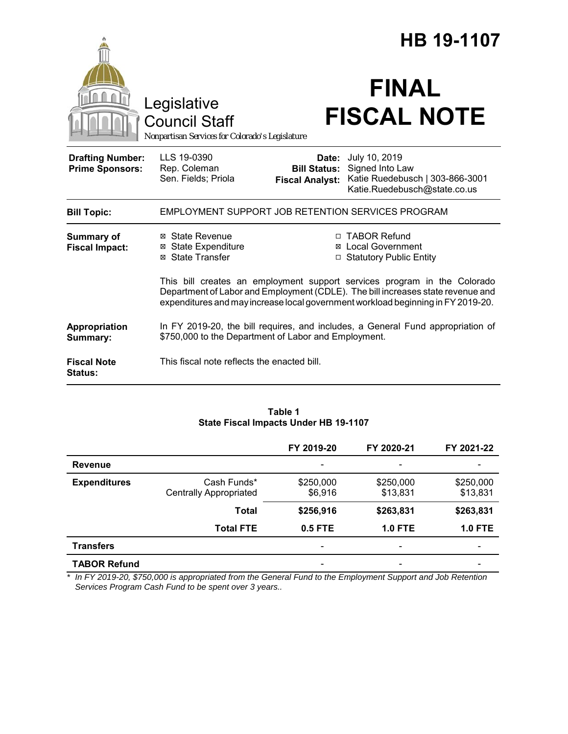|                                                   |                                                                                                                                                                                                                                                 | <b>HB 19-1107</b>                                      |                                                                                                     |  |  |
|---------------------------------------------------|-------------------------------------------------------------------------------------------------------------------------------------------------------------------------------------------------------------------------------------------------|--------------------------------------------------------|-----------------------------------------------------------------------------------------------------|--|--|
|                                                   | Legislative<br><b>Council Staff</b><br>Nonpartisan Services for Colorado's Legislature                                                                                                                                                          |                                                        | <b>FINAL</b><br><b>FISCAL NOTE</b>                                                                  |  |  |
| <b>Drafting Number:</b><br><b>Prime Sponsors:</b> | LLS 19-0390<br>Rep. Coleman<br>Sen. Fields; Priola                                                                                                                                                                                              | Date:<br><b>Bill Status:</b><br><b>Fiscal Analyst:</b> | July 10, 2019<br>Signed Into Law<br>Katie Ruedebusch   303-866-3001<br>Katie.Ruedebusch@state.co.us |  |  |
| <b>Bill Topic:</b>                                | EMPLOYMENT SUPPORT JOB RETENTION SERVICES PROGRAM                                                                                                                                                                                               |                                                        |                                                                                                     |  |  |
| <b>Summary of</b><br><b>Fiscal Impact:</b>        | ⊠ State Revenue<br><b>⊠ State Expenditure</b><br>⊠ State Transfer                                                                                                                                                                               |                                                        | □ TABOR Refund<br>⊠ Local Government<br><b>Statutory Public Entity</b>                              |  |  |
|                                                   | This bill creates an employment support services program in the Colorado<br>Department of Labor and Employment (CDLE). The bill increases state revenue and<br>expenditures and may increase local government workload beginning in FY 2019-20. |                                                        |                                                                                                     |  |  |
| Appropriation<br>Summary:                         | In FY 2019-20, the bill requires, and includes, a General Fund appropriation of<br>\$750,000 to the Department of Labor and Employment.                                                                                                         |                                                        |                                                                                                     |  |  |
| <b>Fiscal Note</b><br>Status:                     | This fiscal note reflects the enacted bill.                                                                                                                                                                                                     |                                                        |                                                                                                     |  |  |

#### **Table 1 State Fiscal Impacts Under HB 19-1107**

|                     |                                              | FY 2019-20                   | FY 2020-21               | FY 2021-22               |
|---------------------|----------------------------------------------|------------------------------|--------------------------|--------------------------|
| <b>Revenue</b>      |                                              | $\qquad \qquad \blacksquare$ | $\overline{\phantom{0}}$ | $\overline{\phantom{a}}$ |
| <b>Expenditures</b> | Cash Funds*<br><b>Centrally Appropriated</b> | \$250,000<br>\$6,916         | \$250,000<br>\$13,831    | \$250,000<br>\$13,831    |
|                     | <b>Total</b>                                 | \$256,916                    | \$263,831                | \$263,831                |
|                     | <b>Total FTE</b>                             | 0.5 FTE                      | <b>1.0 FTE</b>           | <b>1.0 FTE</b>           |
| <b>Transfers</b>    |                                              | $\qquad \qquad \blacksquare$ | $\overline{\phantom{0}}$ | $\overline{\phantom{a}}$ |
| <b>TABOR Refund</b> |                                              |                              |                          |                          |

*\* In FY 2019-20, \$750,000 is appropriated from the General Fund to the Employment Support and Job Retention Services Program Cash Fund to be spent over 3 years..*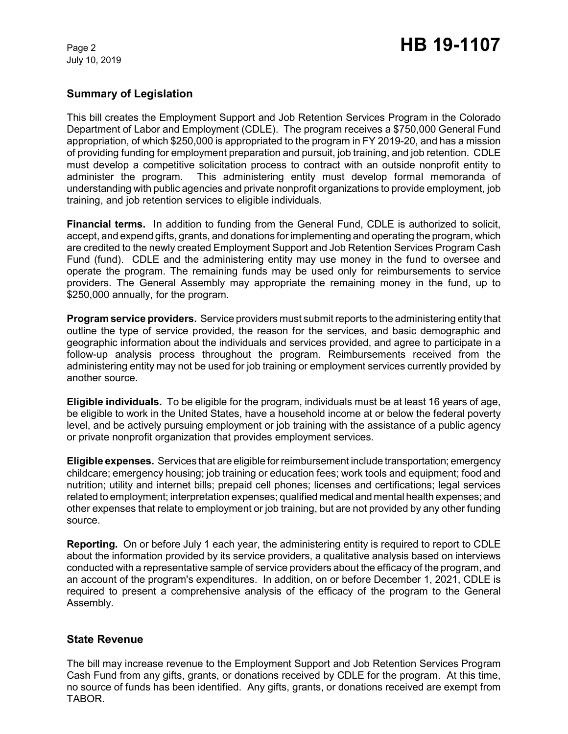July 10, 2019

# **Summary of Legislation**

This bill creates the Employment Support and Job Retention Services Program in the Colorado Department of Labor and Employment (CDLE). The program receives a \$750,000 General Fund appropriation, of which \$250,000 is appropriated to the program in FY 2019-20, and has a mission of providing funding for employment preparation and pursuit, job training, and job retention. CDLE must develop a competitive solicitation process to contract with an outside nonprofit entity to administer the program. This administering entity must develop formal memoranda of understanding with public agencies and private nonprofit organizations to provide employment, job training, and job retention services to eligible individuals.

**Financial terms.** In addition to funding from the General Fund, CDLE is authorized to solicit, accept, and expend gifts, grants, and donations for implementing and operating the program, which are credited to the newly created Employment Support and Job Retention Services Program Cash Fund (fund). CDLE and the administering entity may use money in the fund to oversee and operate the program. The remaining funds may be used only for reimbursements to service providers. The General Assembly may appropriate the remaining money in the fund, up to \$250,000 annually, for the program.

**Program service providers.** Service providers must submit reports to the administering entity that outline the type of service provided, the reason for the services, and basic demographic and geographic information about the individuals and services provided, and agree to participate in a follow-up analysis process throughout the program. Reimbursements received from the administering entity may not be used for job training or employment services currently provided by another source.

**Eligible individuals.** To be eligible for the program, individuals must be at least 16 years of age, be eligible to work in the United States, have a household income at or below the federal poverty level, and be actively pursuing employment or job training with the assistance of a public agency or private nonprofit organization that provides employment services.

**Eligible expenses.** Services that are eligible for reimbursement include transportation; emergency childcare; emergency housing; job training or education fees; work tools and equipment; food and nutrition; utility and internet bills; prepaid cell phones; licenses and certifications; legal services related to employment; interpretation expenses; qualified medical and mental health expenses; and other expenses that relate to employment or job training, but are not provided by any other funding source.

**Reporting.** On or before July 1 each year, the administering entity is required to report to CDLE about the information provided by its service providers, a qualitative analysis based on interviews conducted with a representative sample of service providers about the efficacy of the program, and an account of the program's expenditures. In addition, on or before December 1, 2021, CDLE is required to present a comprehensive analysis of the efficacy of the program to the General Assembly.

## **State Revenue**

The bill may increase revenue to the Employment Support and Job Retention Services Program Cash Fund from any gifts, grants, or donations received by CDLE for the program. At this time, no source of funds has been identified. Any gifts, grants, or donations received are exempt from TABOR.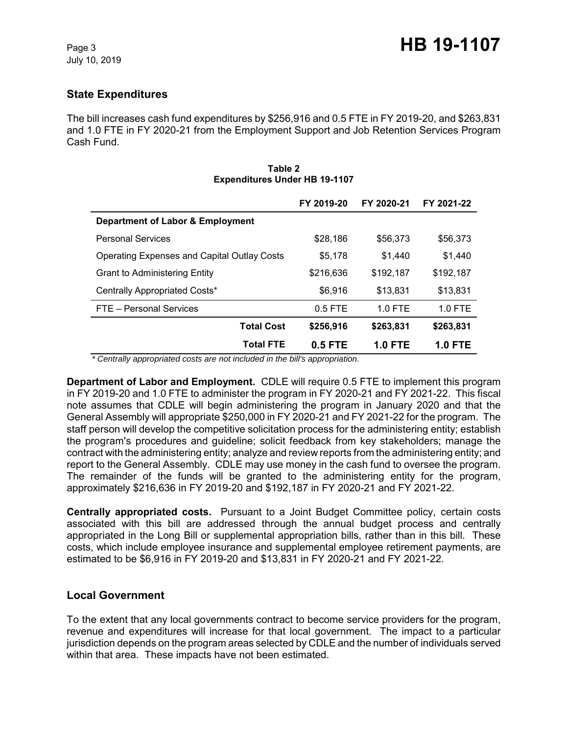# **State Expenditures**

The bill increases cash fund expenditures by \$256,916 and 0.5 FTE in FY 2019-20, and \$263,831 and 1.0 FTE in FY 2020-21 from the Employment Support and Job Retention Services Program Cash Fund.

|                                                    | FY 2019-20 | FY 2020-21     | FY 2021-22     |
|----------------------------------------------------|------------|----------------|----------------|
| Department of Labor & Employment                   |            |                |                |
| <b>Personal Services</b>                           | \$28,186   | \$56,373       | \$56,373       |
| <b>Operating Expenses and Capital Outlay Costs</b> | \$5,178    | \$1.440        | \$1,440        |
| <b>Grant to Administering Entity</b>               | \$216,636  | \$192,187      | \$192,187      |
| Centrally Appropriated Costs*                      | \$6,916    | \$13,831       | \$13,831       |
| FTE - Personal Services                            | $0.5$ FTE  | $1.0$ FTE      | 1.0 FTE        |
| <b>Total Cost</b>                                  | \$256,916  | \$263,831      | \$263,831      |
| <b>Total FTE</b>                                   | 0.5 FTE    | <b>1.0 FTE</b> | <b>1.0 FTE</b> |

#### **Table 2 Expenditures Under HB 19-1107**

 *\* Centrally appropriated costs are not included in the bill's appropriation.*

**Department of Labor and Employment.** CDLE will require 0.5 FTE to implement this program in FY 2019-20 and 1.0 FTE to administer the program in FY 2020-21 and FY 2021-22. This fiscal note assumes that CDLE will begin administering the program in January 2020 and that the General Assembly will appropriate \$250,000 in FY 2020-21 and FY 2021-22 for the program. The staff person will develop the competitive solicitation process for the administering entity; establish the program's procedures and guideline; solicit feedback from key stakeholders; manage the contract with the administering entity; analyze and review reports from the administering entity; and report to the General Assembly. CDLE may use money in the cash fund to oversee the program. The remainder of the funds will be granted to the administering entity for the program, approximately \$216,636 in FY 2019-20 and \$192,187 in FY 2020-21 and FY 2021-22.

**Centrally appropriated costs.** Pursuant to a Joint Budget Committee policy, certain costs associated with this bill are addressed through the annual budget process and centrally appropriated in the Long Bill or supplemental appropriation bills, rather than in this bill. These costs, which include employee insurance and supplemental employee retirement payments, are estimated to be \$6,916 in FY 2019-20 and \$13,831 in FY 2020-21 and FY 2021-22.

## **Local Government**

To the extent that any local governments contract to become service providers for the program, revenue and expenditures will increase for that local government. The impact to a particular jurisdiction depends on the program areas selected by CDLE and the number of individuals served within that area. These impacts have not been estimated.